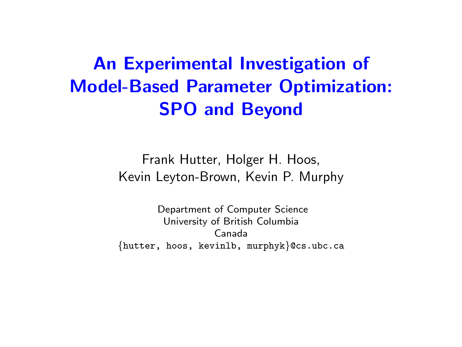An Experimental Investigation of Model-Based Parameter Optimization: SPO and Beyond

> Frank Hutter, Holger H. Hoos, Kevin Leyton-Brown, Kevin P. Murphy

> Department of Computer Science University of British Columbia Canada {hutter, hoos, kevinlb, murphyk}@cs.ubc.ca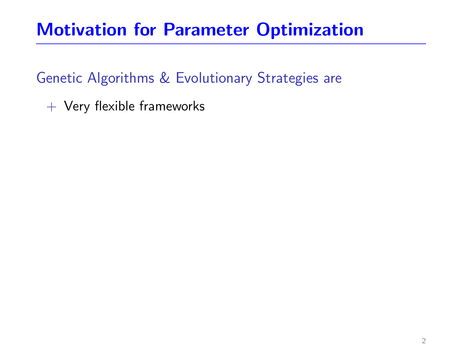## Motivation for Parameter Optimization

Genetic Algorithms & Evolutionary Strategies are

 $+$  Very flexible frameworks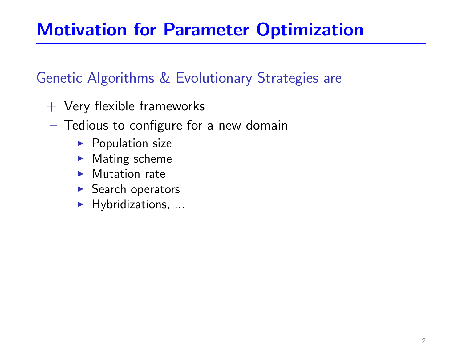## Motivation for Parameter Optimization

### Genetic Algorithms & Evolutionary Strategies are

- $+$  Very flexible frameworks
- Tedious to configure for a new domain
	- $\blacktriangleright$  Population size
	- $\blacktriangleright$  Mating scheme
	- $\blacktriangleright$  Mutation rate
	- $\blacktriangleright$  Search operators
	- $\blacktriangleright$  Hybridizations, ...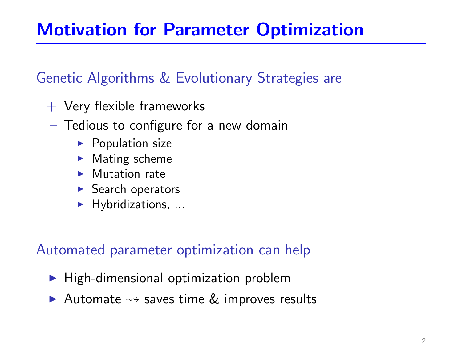## Motivation for Parameter Optimization

### Genetic Algorithms & Evolutionary Strategies are

- $+$  Very flexible frameworks
- Tedious to configure for a new domain
	- $\blacktriangleright$  Population size
	- $\blacktriangleright$  Mating scheme
	- $\blacktriangleright$  Mutation rate
	- $\blacktriangleright$  Search operators
	- $\blacktriangleright$  Hybridizations, ...

#### Automated parameter optimization can help

- $\blacktriangleright$  High-dimensional optimization problem
- Automate  $\rightsquigarrow$  saves time & improves results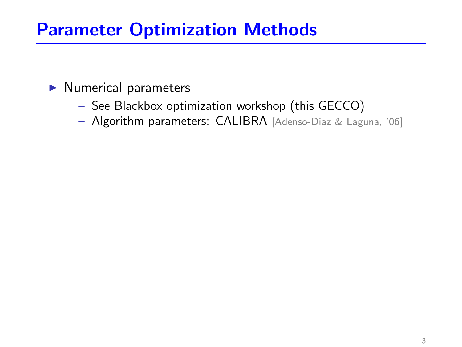- $\blacktriangleright$  Numerical parameters
	- See Blackbox optimization workshop (this GECCO)
	- Algorithm parameters: CALIBRA [Adenso-Diaz & Laguna, '06]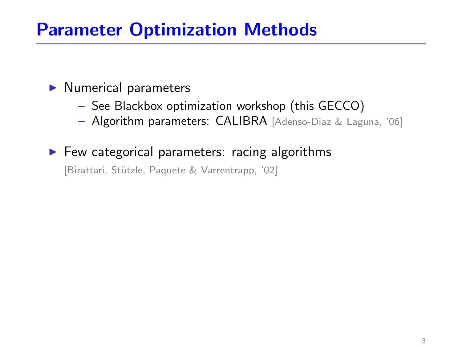#### $\blacktriangleright$  Numerical parameters

- See Blackbox optimization workshop (this GECCO)
- Algorithm parameters: CALIBRA [Adenso-Diaz & Laguna, '06]

#### $\blacktriangleright$  Few categorical parameters: racing algorithms

[Birattari, Stützle, Paquete & Varrentrapp, '02]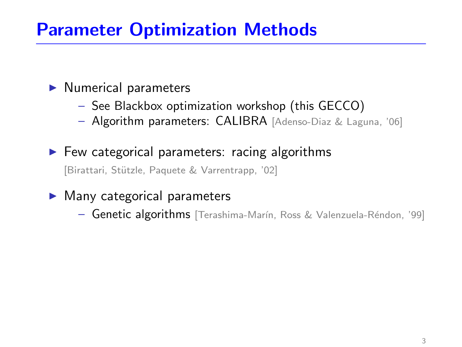#### $\blacktriangleright$  Numerical parameters

- See Blackbox optimization workshop (this GECCO)
- Algorithm parameters: CALIBRA [Adenso-Diaz & Laguna, '06]

 $\blacktriangleright$  Few categorical parameters: racing algorithms

[Birattari, Stützle, Paquete & Varrentrapp, '02]

#### $\blacktriangleright$  Many categorical parameters

– Genetic algorithms [Terashima-Marín, Ross & Valenzuela-Réndon, '99]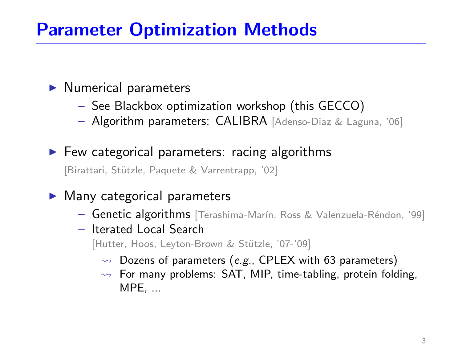#### $\blacktriangleright$  Numerical parameters

- See Blackbox optimization workshop (this GECCO)
- Algorithm parameters: CALIBRA [Adenso-Diaz & Laguna, '06]

 $\blacktriangleright$  Few categorical parameters: racing algorithms

[Birattari, Stützle, Paquete & Varrentrapp, '02]

#### $\blacktriangleright$  Many categorical parameters

- Genetic algorithms [Terashima-Marín, Ross & Valenzuela-Réndon, '99]
- Iterated Local Search

[Hutter, Hoos, Leyton-Brown & Stützle, '07-'09]

- $\rightarrow$  Dozens of parameters (e.g., CPLEX with 63 parameters)
- $\rightarrow$  For many problems: SAT, MIP, time-tabling, protein folding, MPE, ...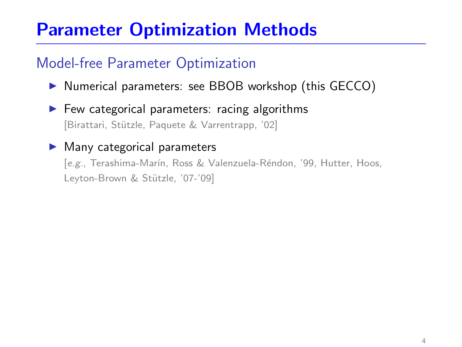#### Model-free Parameter Optimization

- $\triangleright$  Numerical parameters: see BBOB workshop (this GECCO)
- $\blacktriangleright$  Few categorical parameters: racing algorithms [Birattari, Stützle, Paquete & Varrentrapp, '02]

#### $\blacktriangleright$  Many categorical parameters

[e.g., Terashima-Marín, Ross & Valenzuela-Réndon, '99, Hutter, Hoos, Leyton-Brown & Stützle, '07-'09]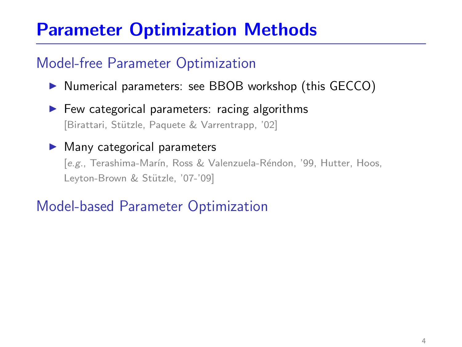#### Model-free Parameter Optimization

- $\triangleright$  Numerical parameters: see BBOB workshop (this GECCO)
- $\blacktriangleright$  Few categorical parameters: racing algorithms [Birattari, Stützle, Paquete & Varrentrapp, '02]

#### $\blacktriangleright$  Many categorical parameters

[e.g., Terashima-Marín, Ross & Valenzuela-Réndon, '99, Hutter, Hoos, Leyton-Brown & Stützle, '07-'09]

### Model-based Parameter Optimization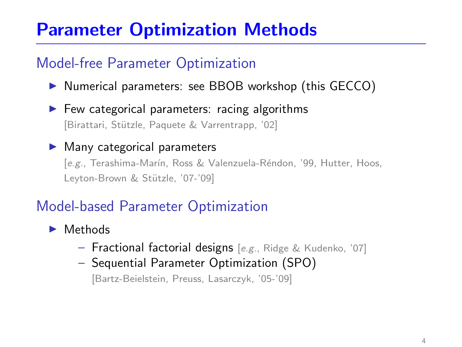#### Model-free Parameter Optimization

- $\triangleright$  Numerical parameters: see BBOB workshop (this GECCO)
- $\blacktriangleright$  Few categorical parameters: racing algorithms [Birattari, St¨utzle, Paquete & Varrentrapp, '02]

#### $\blacktriangleright$  Many categorical parameters

[e.g., Terashima-Marín, Ross & Valenzuela-Réndon, '99, Hutter, Hoos, Leyton-Brown & Stützle, '07-'09]

### Model-based Parameter Optimization

- $\blacktriangleright$  Methods
	- Fractional factorial designs [e.g., Ridge & Kudenko, '07]
	- Sequential Parameter Optimization (SPO)

[Bartz-Beielstein, Preuss, Lasarczyk, '05-'09]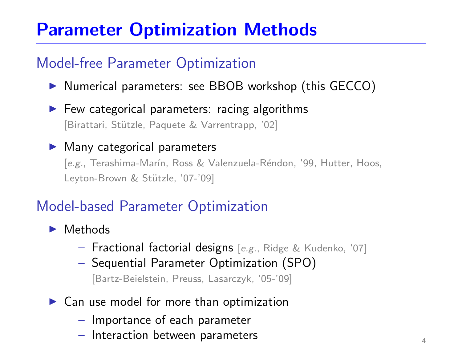#### Model-free Parameter Optimization

- $\triangleright$  Numerical parameters: see BBOB workshop (this GECCO)
- $\blacktriangleright$  Few categorical parameters: racing algorithms [Birattari, St¨utzle, Paquete & Varrentrapp, '02]

#### $\blacktriangleright$  Many categorical parameters

[e.g., Terashima-Marín, Ross & Valenzuela-Réndon, '99, Hutter, Hoos, Leyton-Brown & Stützle, '07-'09]

### Model-based Parameter Optimization

- $\blacktriangleright$  Methods
	- Fractional factorial designs [e.g., Ridge & Kudenko, '07]
	- Sequential Parameter Optimization (SPO) [Bartz-Beielstein, Preuss, Lasarczyk, '05-'09]
- $\blacktriangleright$  Can use model for more than optimization
	- Importance of each parameter
	- $-$  Interaction between parameters  $4\overline{4}$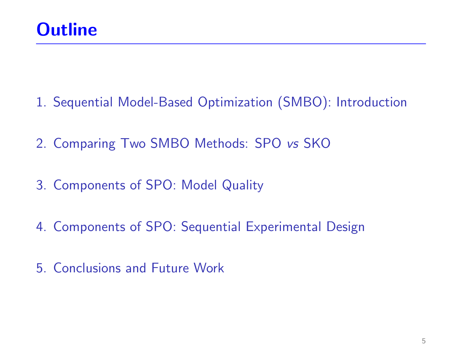- 1. [Sequential Model-Based Optimization \(SMBO\): Introduction](#page-13-0)
- 2. [Comparing Two SMBO Methods: SPO](#page-21-0) vs SKO
- 3. [Components of SPO: Model Quality](#page-27-0)
- 4. [Components of SPO: Sequential Experimental Design](#page-36-0)
- 5. [Conclusions and Future Work](#page-55-0)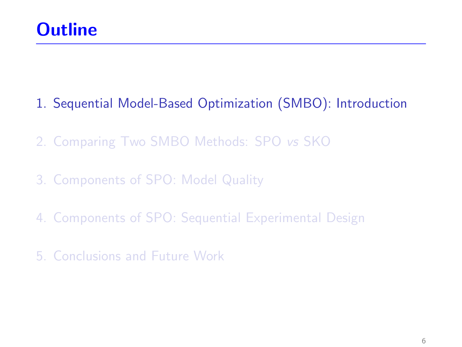#### 1. [Sequential Model-Based Optimization \(SMBO\): Introduction](#page-13-0)

- 2. [Comparing Two SMBO Methods: SPO](#page-21-0) vs SKO
- 3. [Components of SPO: Model Quality](#page-27-0)
- 4. [Components of SPO: Sequential Experimental Design](#page-36-0)
- <span id="page-13-0"></span>5. [Conclusions and Future Work](#page-55-0)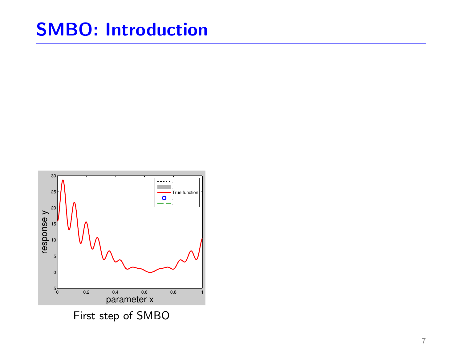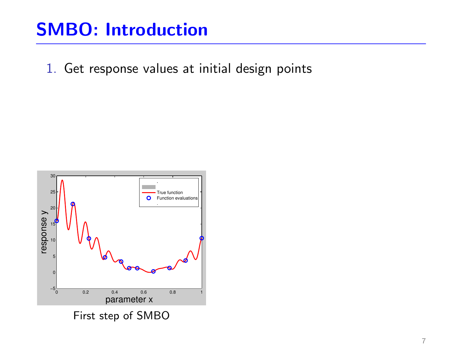1. Get response values at initial design points

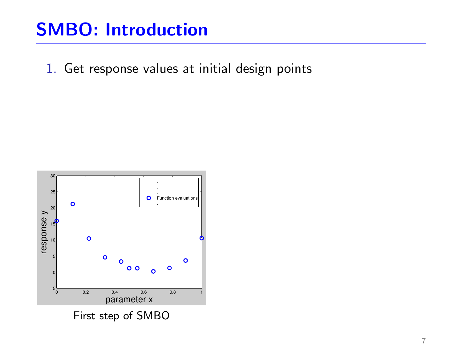1. Get response values at initial design points

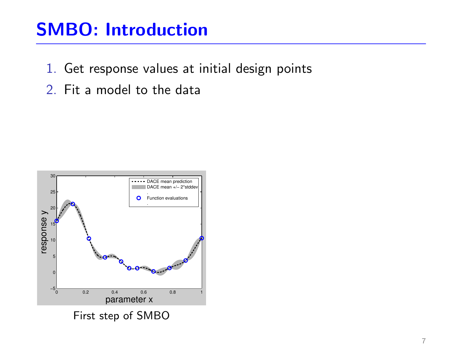- 1. Get response values at initial design points
- 2. Fit a model to the data

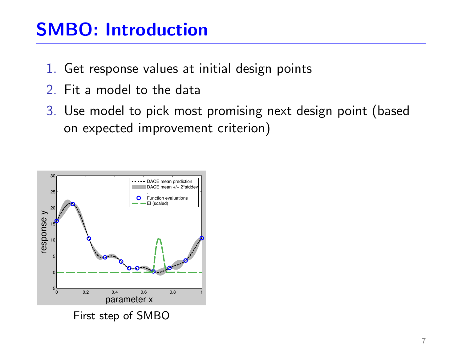- 1. Get response values at initial design points
- 2. Fit a model to the data
- 3. Use model to pick most promising next design point (based on expected improvement criterion)



First step of SMBO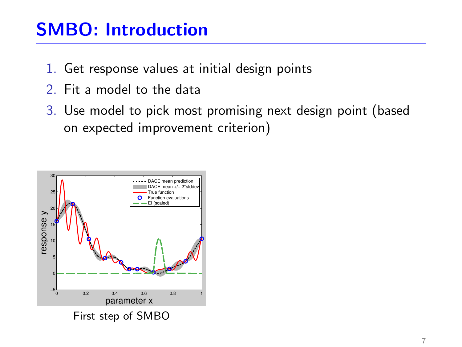- 1. Get response values at initial design points
- 2. Fit a model to the data
- 3. Use model to pick most promising next design point (based on expected improvement criterion)

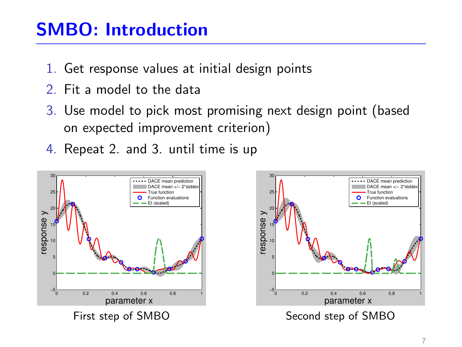- 1. Get response values at initial design points
- 2. Fit a model to the data
- 3. Use model to pick most promising next design point (based on expected improvement criterion)
- 4. Repeat 2. and 3. until time is up



EI (scaled)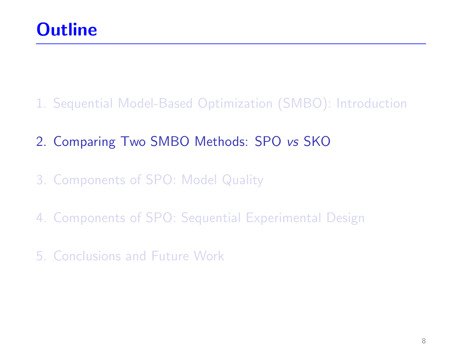- 1. [Sequential Model-Based Optimization \(SMBO\): Introduction](#page-13-0)
- 2. [Comparing Two SMBO Methods: SPO](#page-21-0) vs SKO
- 3. [Components of SPO: Model Quality](#page-27-0)
- 4. [Components of SPO: Sequential Experimental Design](#page-36-0)
- <span id="page-21-0"></span>5. [Conclusions and Future Work](#page-55-0)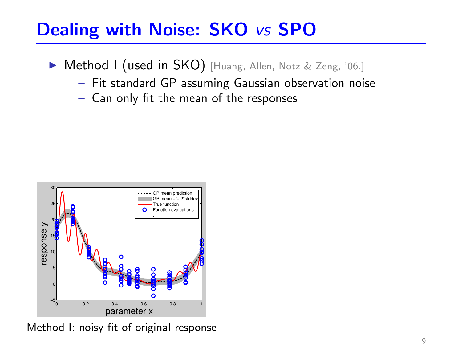## Dealing with Noise: SKO vs SPO

- ▶ Method I (used in SKO) [Huang, Allen, Notz & Zeng, '06.]
	- Fit standard GP assuming Gaussian observation noise
	- Can only fit the mean of the responses



Method I: noisy fit of original response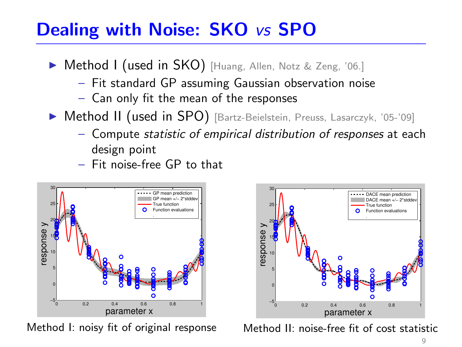## Dealing with Noise: SKO vs SPO

- ▶ Method I (used in SKO) [Huang, Allen, Notz & Zeng, '06.]
	- Fit standard GP assuming Gaussian observation noise
	- Can only fit the mean of the responses
- ▶ Method II (used in SPO) [Bartz-Beielstein, Preuss, Lasarczyk, '05-'09]
	- Compute statistic of empirical distribution of responses at each design point
	- Fit noise-free GP to that



Method I: noisy fit of original response



Method II: noise-free fit of cost statistic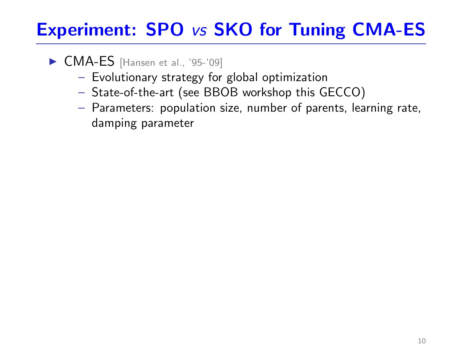## Experiment: SPO vs SKO for Tuning CMA-ES

- ▶ CMA-ES [Hansen et al., '95-'09]
	- Evolutionary strategy for global optimization
	- State-of-the-art (see BBOB workshop this GECCO)
	- Parameters: population size, number of parents, learning rate, damping parameter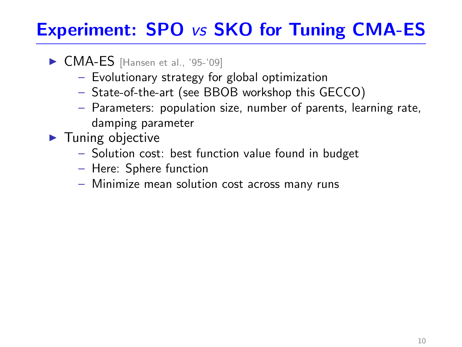## Experiment: SPO vs SKO for Tuning CMA-ES

- ▶ CMA-ES [Hansen et al., '95-'09]
	- Evolutionary strategy for global optimization
	- State-of-the-art (see BBOB workshop this GECCO)
	- Parameters: population size, number of parents, learning rate, damping parameter
- $\blacktriangleright$  Tuning objective
	- Solution cost: best function value found in budget
	- Here: Sphere function
	- Minimize mean solution cost across many runs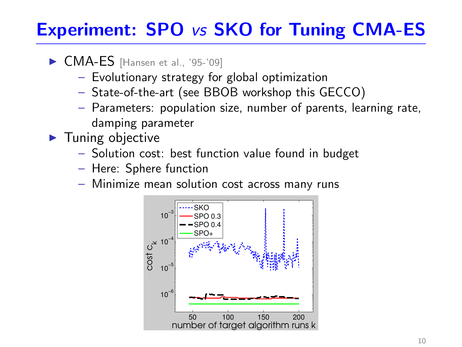## Experiment: SPO vs SKO for Tuning CMA-ES

- ▶ CMA-ES [Hansen et al., '95-'09]
	- Evolutionary strategy for global optimization
	- State-of-the-art (see BBOB workshop this GECCO)
	- Parameters: population size, number of parents, learning rate, damping parameter
- $\blacktriangleright$  Tuning objective
	- Solution cost: best function value found in budget
	- Here: Sphere function
	- Minimize mean solution cost across many runs

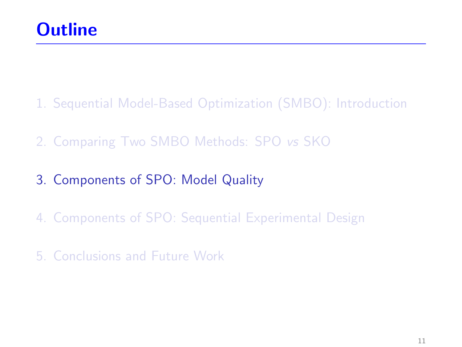- 1. [Sequential Model-Based Optimization \(SMBO\): Introduction](#page-13-0)
- 2. [Comparing Two SMBO Methods: SPO](#page-21-0) vs SKO
- 3. [Components of SPO: Model Quality](#page-27-0)
- 4. [Components of SPO: Sequential Experimental Design](#page-36-0)
- <span id="page-27-0"></span>5. [Conclusions and Future Work](#page-55-0)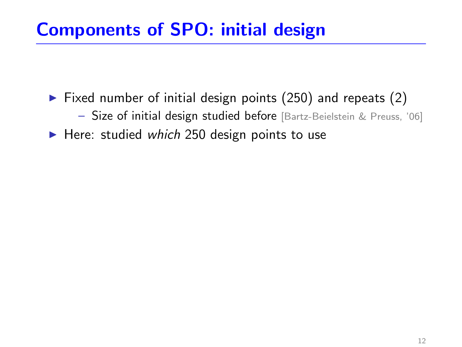## Components of SPO: initial design

 $\blacktriangleright$  Fixed number of initial design points (250) and repeats (2) – Size of initial design studied before [Bartz-Beielstein & Preuss, '06]  $\blacktriangleright$  Here: studied which 250 design points to use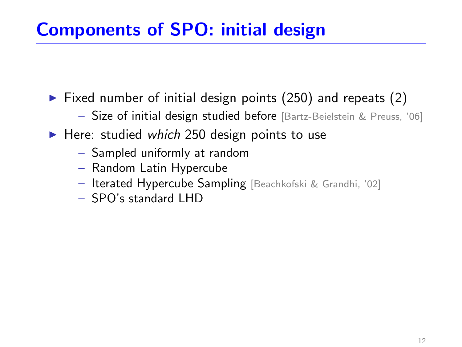## Components of SPO: initial design

 $\triangleright$  Fixed number of initial design points (250) and repeats (2)

- Size of initial design studied before [Bartz-Beielstein & Preuss, '06]
- $\blacktriangleright$  Here: studied which 250 design points to use
	- Sampled uniformly at random
	- Random Latin Hypercube
	- Iterated Hypercube Sampling [Beachkofski & Grandhi, '02]
	- SPO's standard LHD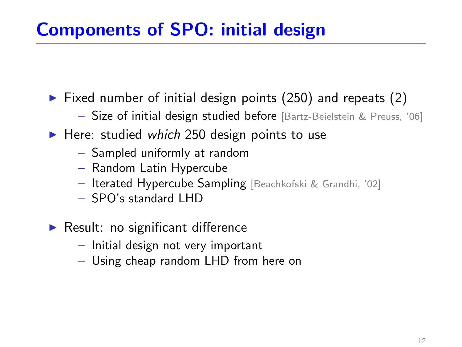## Components of SPO: initial design

 $\triangleright$  Fixed number of initial design points (250) and repeats (2)

- Size of initial design studied before [Bartz-Beielstein & Preuss, '06]
- $\blacktriangleright$  Here: studied which 250 design points to use
	- Sampled uniformly at random
	- Random Latin Hypercube
	- Iterated Hypercube Sampling [Beachkofski & Grandhi, '02]
	- SPO's standard LHD
- $\blacktriangleright$  Result: no significant difference
	- Initial design not very important
	- Using cheap random LHD from here on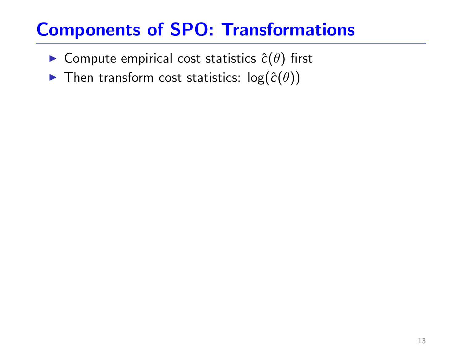- $\blacktriangleright$  Compute empirical cost statistics  $\hat{c}(\theta)$  first
- ▶ Then transform cost statistics:  $log(\hat{c}(\theta))$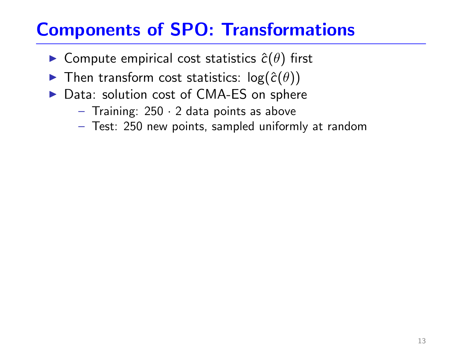- ► Compute empirical cost statistics  $\hat{c}(\theta)$  first
- ▶ Then transform cost statistics:  $log(\hat{c}(\theta))$
- $\triangleright$  Data: solution cost of CMA-ES on sphere
	- $-$  Training: 250  $\cdot$  2 data points as above
	- Test: 250 new points, sampled uniformly at random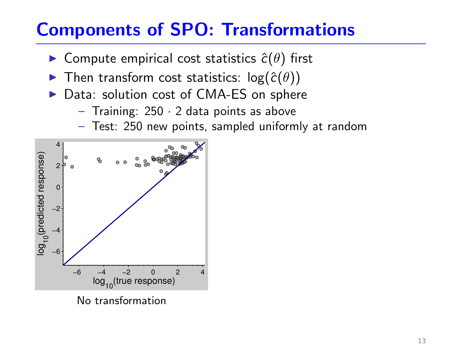- ► Compute empirical cost statistics  $\hat{c}(\theta)$  first
- ▶ Then transform cost statistics:  $log(\hat{c}(\theta))$
- ▶ Data: solution cost of CMA-ES on sphere
	- $-$  Training: 250  $\cdot$  2 data points as above
	- Test: 250 new points, sampled uniformly at random

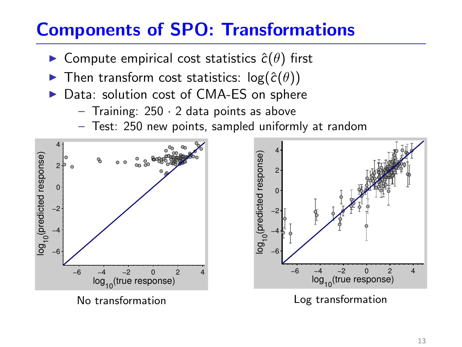- $\triangleright$  Compute empirical cost statistics  $\hat{c}(\theta)$  first
- **►** Then transform cost statistics:  $log(\hat{c}(\theta))$
- $\triangleright$  Data: solution cost of CMA-ES on sphere
	- $-$  Training: 250  $\cdot$  2 data points as above
	- Test: 250 new points, sampled uniformly at random



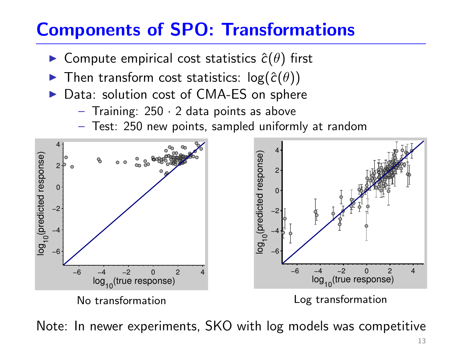- ► Compute empirical cost statistics  $\hat{c}(\theta)$  first
- **►** Then transform cost statistics:  $log(\hat{c}(\theta))$
- ▶ Data: solution cost of CMA-ES on sphere
	- $-$  Training: 250  $\cdot$  2 data points as above
	- Test: 250 new points, sampled uniformly at random



Note: In newer experiments, SKO with log models was competitive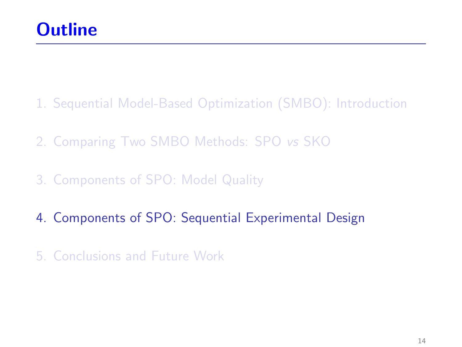- 1. [Sequential Model-Based Optimization \(SMBO\): Introduction](#page-13-0)
- 2. [Comparing Two SMBO Methods: SPO](#page-21-0) vs SKO
- 3. [Components of SPO: Model Quality](#page-27-0)
- 4. [Components of SPO: Sequential Experimental Design](#page-36-0)
- <span id="page-36-0"></span>5. [Conclusions and Future Work](#page-55-0)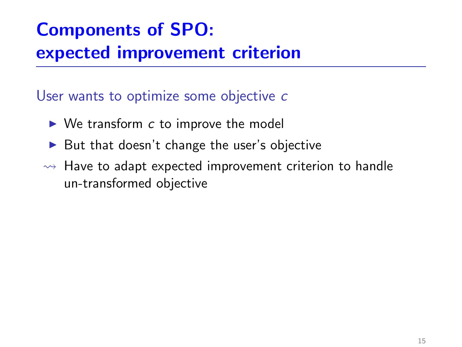# Components of SPO: expected improvement criterion

User wants to optimize some objective c

- $\triangleright$  We transform c to improve the model
- $\triangleright$  But that doesn't change the user's objective
- $\rightarrow$  Have to adapt expected improvement criterion to handle un-transformed objective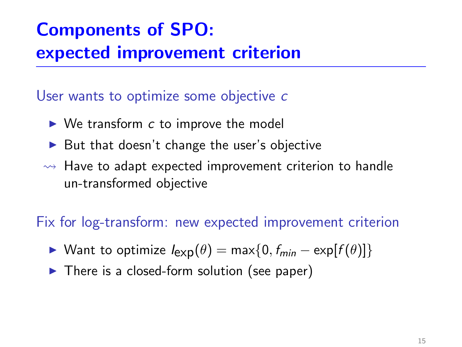# Components of SPO: expected improvement criterion

User wants to optimize some objective c

- $\triangleright$  We transform c to improve the model
- $\triangleright$  But that doesn't change the user's objective
- $\rightarrow$  Have to adapt expected improvement criterion to handle un-transformed objective

Fix for log-transform: new expected improvement criterion

- $\triangleright$  Want to optimize  $I_{\text{exp}}(\theta) = \max\{0, f_{\text{min}} \exp[f(\theta)]\}$
- $\blacktriangleright$  There is a closed-form solution (see paper)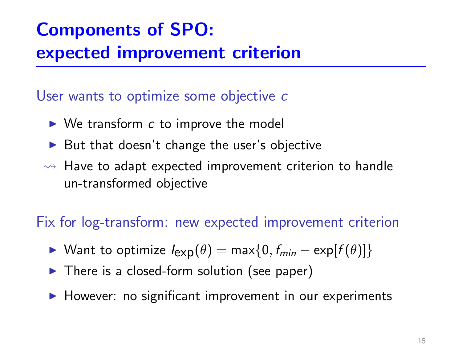# Components of SPO: expected improvement criterion

User wants to optimize some objective c

- $\triangleright$  We transform c to improve the model
- $\triangleright$  But that doesn't change the user's objective
- $\rightarrow$  Have to adapt expected improvement criterion to handle un-transformed objective

Fix for log-transform: new expected improvement criterion

- $\triangleright$  Want to optimize  $I_{\text{exp}}(\theta) = \max\{0, f_{\text{min}} \exp[f(\theta)]\}$
- $\blacktriangleright$  There is a closed-form solution (see paper)
- $\blacktriangleright$  However: no significant improvement in our experiments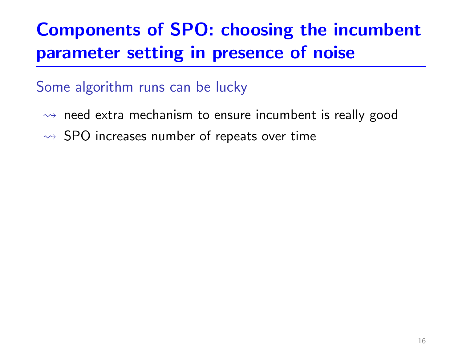#### Some algorithm runs can be lucky

- $\rightarrow$  need extra mechanism to ensure incumbent is really good
- $\rightarrow$  SPO increases number of repeats over time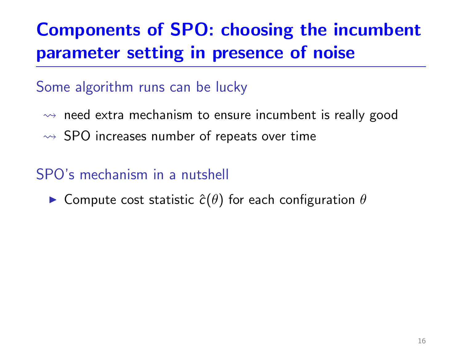#### Some algorithm runs can be lucky

- $\rightarrow$  need extra mechanism to ensure incumbent is really good
- $\rightarrow$  SPO increases number of repeats over time

#### SPO's mechanism in a nutshell

**In Compute cost statistic**  $\hat{c}(\theta)$  **for each configuration**  $\theta$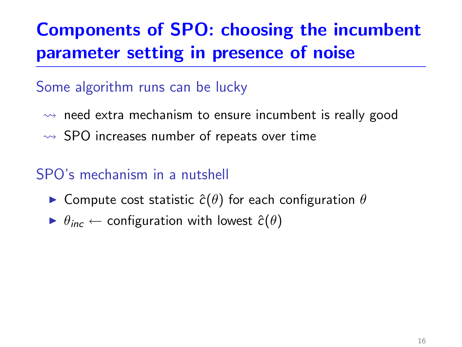#### Some algorithm runs can be lucky

- $\rightsquigarrow$  need extra mechanism to ensure incumbent is really good
- $\rightarrow$  SPO increases number of repeats over time

#### SPO's mechanism in a nutshell

- **In Compute cost statistic**  $\hat{c}(\theta)$  **for each configuration**  $\theta$
- $\blacktriangleright \theta_{inc} \leftarrow$  configuration with lowest  $\hat{c}(\theta)$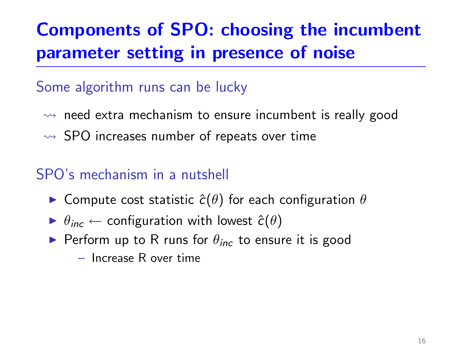#### Some algorithm runs can be lucky

- $\rightsquigarrow$  need extra mechanism to ensure incumbent is really good
- $\rightarrow$  SPO increases number of repeats over time

#### SPO's mechanism in a nutshell

- **In Compute cost statistic**  $\hat{c}(\theta)$  **for each configuration**  $\theta$
- $\blacktriangleright \theta_{inc} \leftarrow$  configuration with lowest  $\hat{c}(\theta)$
- **Perform up to R runs for**  $\theta_{inc}$  **to ensure it is good** 
	- Increase R over time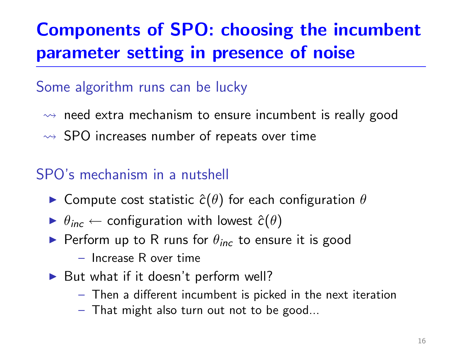#### Some algorithm runs can be lucky

- $\rightarrow$  need extra mechanism to ensure incumbent is really good
- $\rightarrow$  SPO increases number of repeats over time

#### SPO's mechanism in a nutshell

- **In Compute cost statistic**  $\hat{c}(\theta)$  **for each configuration**  $\theta$
- $\blacktriangleright \theta_{inc} \leftarrow$  configuration with lowest  $\hat{c}(\theta)$
- **Perform up to R runs for**  $\theta_{inc}$  **to ensure it is good** 
	- Increase R over time
- $\blacktriangleright$  But what if it doesn't perform well?
	- Then a different incumbent is picked in the next iteration
	- That might also turn out not to be good...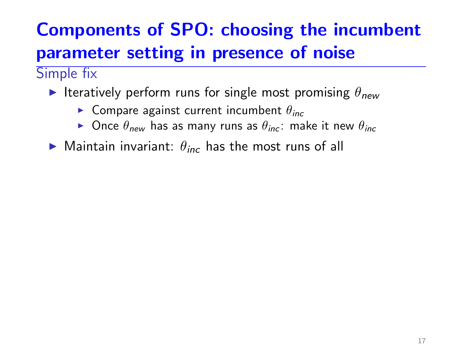Simple fix

- Iteratively perform runs for single most promising  $\theta_{new}$ 
	- **In Compare against current incumbent**  $\theta_{inc}$
	- **In** Once  $\theta_{new}$  has as many runs as  $\theta_{inc}$ : make it new  $\theta_{inc}$
- $\blacktriangleright$  Maintain invariant:  $\theta_{inc}$  has the most runs of all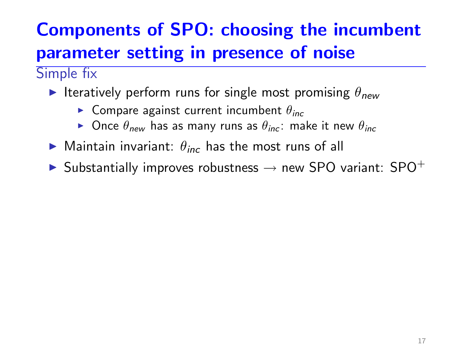Simple fix

- Iteratively perform runs for single most promising  $\theta_{new}$ 
	- **In Compare against current incumbent**  $\theta_{inc}$
	- **In** Once  $\theta_{new}$  has as many runs as  $\theta_{inc}$ : make it new  $\theta_{inc}$
- $\blacktriangleright$  Maintain invariant:  $\theta_{inc}$  has the most runs of all
- ► Substantially improves robustness  $\rightarrow$  new SPO variant: SPO<sup>+</sup>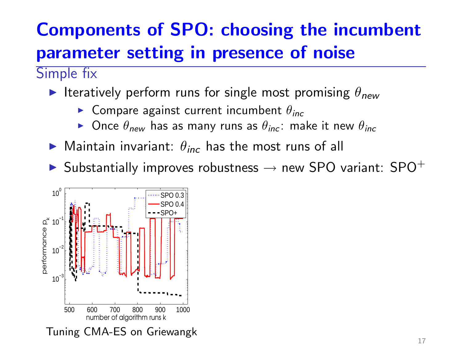Simple fix

Iteratively perform runs for single most promising  $\theta_{new}$ 

- **In Compare against current incumbent**  $\theta_{inc}$
- **In** Once  $\theta_{new}$  has as many runs as  $\theta_{inc}$ : make it new  $\theta_{inc}$
- $\blacktriangleright$  Maintain invariant:  $\theta_{inc}$  has the most runs of all
- ► Substantially improves robustness  $\rightarrow$  new SPO variant: SPO<sup>+</sup>



Tuning CMA-ES on Griewangk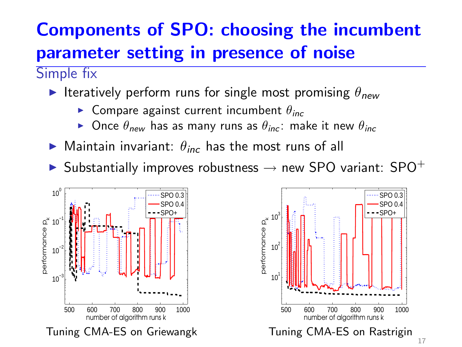Simple fix

Iteratively perform runs for single most promising  $\theta_{new}$ 

- **Compare against current incumbent**  $\theta_{inc}$
- **In** Once  $\theta_{new}$  has as many runs as  $\theta_{inc}$ : make it new  $\theta_{inc}$
- $\blacktriangleright$  Maintain invariant:  $\theta_{inc}$  has the most runs of all
- ► Substantially improves robustness  $\rightarrow$  new SPO variant: SPO<sup>+</sup>



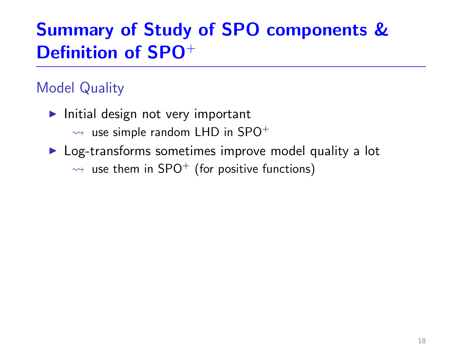# Summary of Study of SPO components & Definition of SPO<sup>+</sup>

### Model Quality

- $\blacktriangleright$  Initial design not very important
	- $\rightarrow$  use simple random LHD in SPO<sup>+</sup>
- $\triangleright$  Log-transforms sometimes improve model quality a lot  $\rightarrow$  use them in SPO<sup>+</sup> (for positive functions)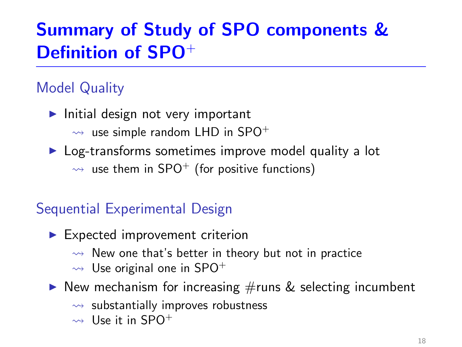# Summary of Study of SPO components & Definition of SPO<sup>+</sup>

### Model Quality

- $\blacktriangleright$  Initial design not very important
	- $\rightarrow$  use simple random LHD in SPO<sup>+</sup>
- $\triangleright$  Log-transforms sometimes improve model quality a lot  $\rightarrow$  use them in SPO<sup>+</sup> (for positive functions)

### Sequential Experimental Design

- $\blacktriangleright$  Expected improvement criterion
	- $\rightarrow$  New one that's better in theory but not in practice
	- $\rightsquigarrow$  Use original one in SPO<sup>+</sup>
- $\triangleright$  New mechanism for increasing  $\#$ runs & selecting incumbent
	- $\rightsquigarrow$  substantially improves robustness
	- $\rightarrow$  Use it in SPO<sup>+</sup>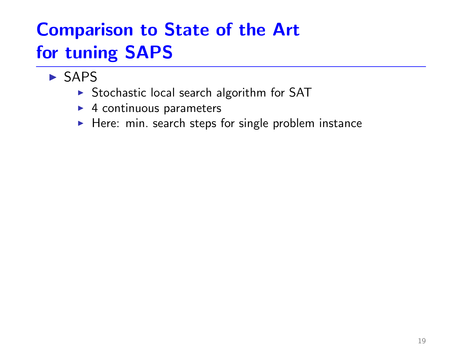- $\triangleright$  SAPS
	- $\triangleright$  Stochastic local search algorithm for SAT
	- $\blacktriangleright$  4 continuous parameters
	- $\blacktriangleright$  Here: min. search steps for single problem instance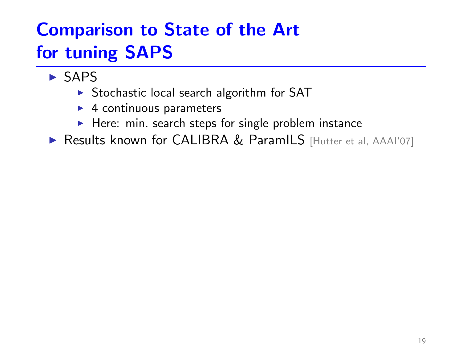- $\triangleright$  SAPS
	- $\triangleright$  Stochastic local search algorithm for SAT
	- $\blacktriangleright$  4 continuous parameters
	- $\blacktriangleright$  Here: min. search steps for single problem instance
- ▶ Results known for CALIBRA & ParamILS [Hutter et al, AAAI'07]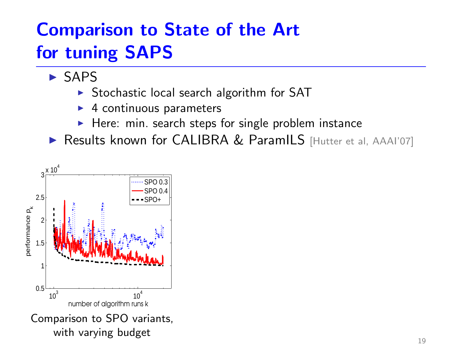- $\triangleright$  SAPS
	- $\triangleright$  Stochastic local search algorithm for SAT
	- $\blacktriangleright$  4 continuous parameters
	- $\blacktriangleright$  Here: min. search steps for single problem instance
- ▶ Results known for CALIBRA & ParamILS [Hutter et al, AAAI'07]

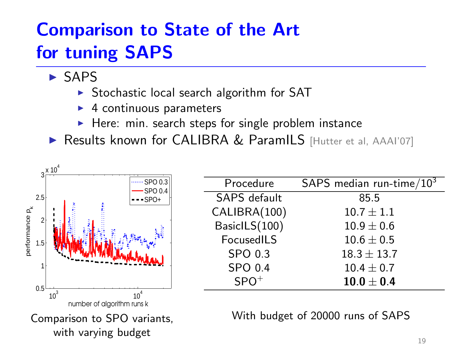- $\triangleright$  SAPS
	- $\triangleright$  Stochastic local search algorithm for SAT
	- $\blacktriangleright$  4 continuous parameters
	- $\blacktriangleright$  Here: min. search steps for single problem instance
- ▶ Results known for CALIBRA & ParamILS [Hutter et al, AAAI'07]

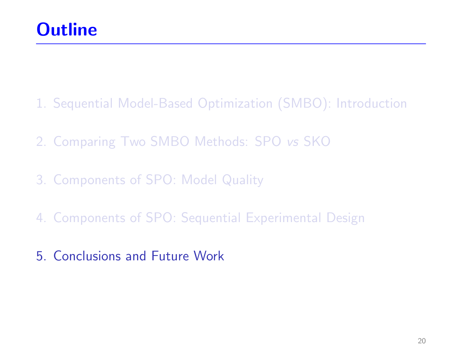- 1. [Sequential Model-Based Optimization \(SMBO\): Introduction](#page-13-0)
- 2. [Comparing Two SMBO Methods: SPO](#page-21-0) vs SKO
- 3. [Components of SPO: Model Quality](#page-27-0)
- 4. [Components of SPO: Sequential Experimental Design](#page-36-0)
- <span id="page-55-0"></span>5. [Conclusions and Future Work](#page-55-0)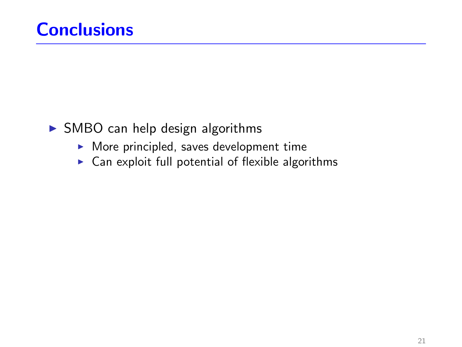- $\triangleright$  SMBO can help design algorithms
	- $\blacktriangleright$  More principled, saves development time
	- $\blacktriangleright$  Can exploit full potential of flexible algorithms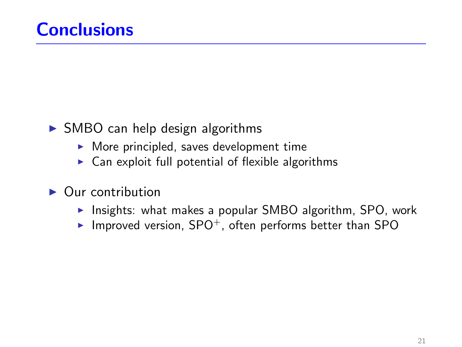- $\triangleright$  SMBO can help design algorithms
	- $\blacktriangleright$  More principled, saves development time
	- $\triangleright$  Can exploit full potential of flexible algorithms
- $\triangleright$  Our contribution
	- $\triangleright$  Insights: what makes a popular SMBO algorithm, SPO, work
	- Improved version,  $SPO^{+}$ , often performs better than SPO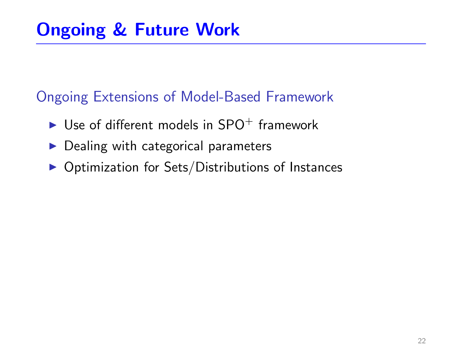#### Ongoing Extensions of Model-Based Framework

- I Use of different models in  $SPO^+$  framework
- $\triangleright$  Dealing with categorical parameters
- $\triangleright$  Optimization for Sets/Distributions of Instances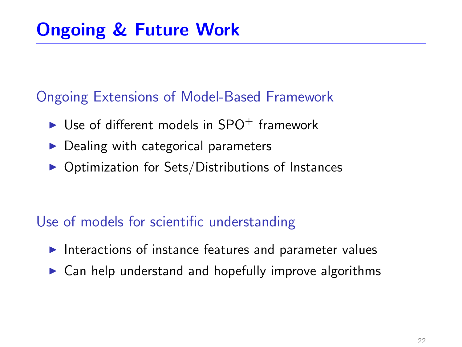#### Ongoing Extensions of Model-Based Framework

- $\triangleright$  Use of different models in SPO<sup>+</sup> framework
- Dealing with categorical parameters
- $\triangleright$  Optimization for Sets/Distributions of Instances

#### Use of models for scientific understanding

- $\blacktriangleright$  Interactions of instance features and parameter values
- $\triangleright$  Can help understand and hopefully improve algorithms